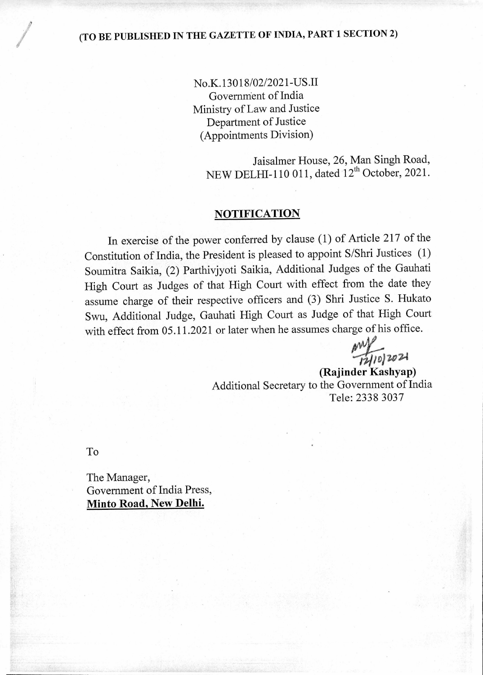## (TO BE PUBLISHED IN THE GAZETTE OF INDIA, PART 1 SECTION 2)

No.K.13018/02/2021-US.II Governnient of India Ministry of Law and Justice Department of Justice (Appointments Division)

> Jaisalmer House, 26, Man Singh Road, NEW DELHI-110 011, dated 12<sup>th</sup> October, 2021.

## **NOTIFICATION**

In exercise of the power conferred by clause (1) of Article 217 of the Constitution of India, the President is pleased to appoint S/Shri Justices (1) Soumitra Saikia, (2) Parthivjyoti Saikia, Additional Judges of the Gauhati High Court as Judges of that High Court with effect from the date they assume charge of their respective officers and (3) Shri Justice S. Hukato Swu, Additional Judge, Gauhati High Court as Judge of that High Court with effect from 05.11.2021 or later when he assumes charge of his office.

*0/1)30204* 

**(Rajinder Kashyap)**  Additional Secretary to the Government of India Tele: 2338 3037

To

The Manager, Government of India Press, **Minto Road, New Delhi.**